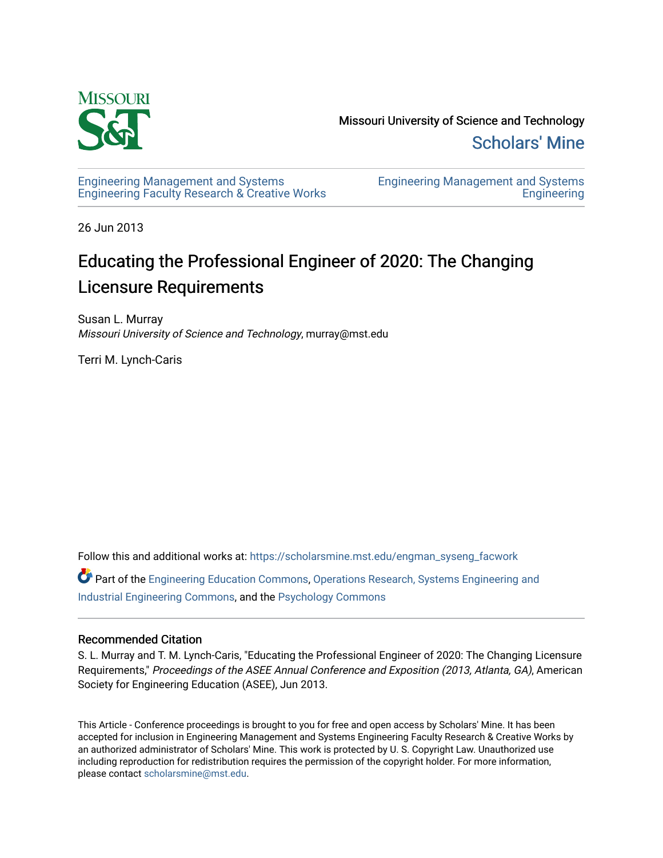

Missouri University of Science and Technology [Scholars' Mine](https://scholarsmine.mst.edu/) 

[Engineering Management and Systems](https://scholarsmine.mst.edu/engman_syseng_facwork)  [Engineering Faculty Research & Creative Works](https://scholarsmine.mst.edu/engman_syseng_facwork) [Engineering Management and Systems](https://scholarsmine.mst.edu/engman_syseng)  **Engineering** 

26 Jun 2013

# Educating the Professional Engineer of 2020: The Changing Licensure Requirements

Susan L. Murray Missouri University of Science and Technology, murray@mst.edu

Terri M. Lynch-Caris

Follow this and additional works at: [https://scholarsmine.mst.edu/engman\\_syseng\\_facwork](https://scholarsmine.mst.edu/engman_syseng_facwork?utm_source=scholarsmine.mst.edu%2Fengman_syseng_facwork%2F295&utm_medium=PDF&utm_campaign=PDFCoverPages) 

Part of the [Engineering Education Commons,](http://network.bepress.com/hgg/discipline/1191?utm_source=scholarsmine.mst.edu%2Fengman_syseng_facwork%2F295&utm_medium=PDF&utm_campaign=PDFCoverPages) [Operations Research, Systems Engineering and](http://network.bepress.com/hgg/discipline/305?utm_source=scholarsmine.mst.edu%2Fengman_syseng_facwork%2F295&utm_medium=PDF&utm_campaign=PDFCoverPages) [Industrial Engineering Commons,](http://network.bepress.com/hgg/discipline/305?utm_source=scholarsmine.mst.edu%2Fengman_syseng_facwork%2F295&utm_medium=PDF&utm_campaign=PDFCoverPages) and the [Psychology Commons](http://network.bepress.com/hgg/discipline/404?utm_source=scholarsmine.mst.edu%2Fengman_syseng_facwork%2F295&utm_medium=PDF&utm_campaign=PDFCoverPages) 

#### Recommended Citation

S. L. Murray and T. M. Lynch-Caris, "Educating the Professional Engineer of 2020: The Changing Licensure Requirements," Proceedings of the ASEE Annual Conference and Exposition (2013, Atlanta, GA), American Society for Engineering Education (ASEE), Jun 2013.

This Article - Conference proceedings is brought to you for free and open access by Scholars' Mine. It has been accepted for inclusion in Engineering Management and Systems Engineering Faculty Research & Creative Works by an authorized administrator of Scholars' Mine. This work is protected by U. S. Copyright Law. Unauthorized use including reproduction for redistribution requires the permission of the copyright holder. For more information, please contact [scholarsmine@mst.edu.](mailto:scholarsmine@mst.edu)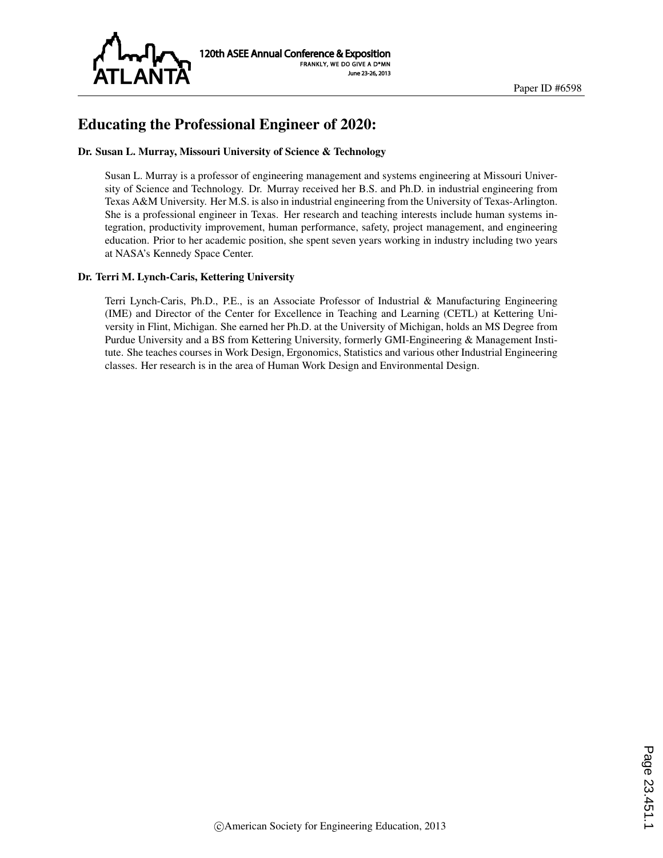

# Educating the Professional Engineer of 2020:

#### Dr. Susan L. Murray, Missouri University of Science & Technology

Susan L. Murray is a professor of engineering management and systems engineering at Missouri University of Science and Technology. Dr. Murray received her B.S. and Ph.D. in industrial engineering from Texas A&M University. Her M.S. is also in industrial engineering from the University of Texas-Arlington. She is a professional engineer in Texas. Her research and teaching interests include human systems integration, productivity improvement, human performance, safety, project management, and engineering education. Prior to her academic position, she spent seven years working in industry including two years at NASA's Kennedy Space Center.

#### Dr. Terri M. Lynch-Caris, Kettering University

Terri Lynch-Caris, Ph.D., P.E., is an Associate Professor of Industrial & Manufacturing Engineering (IME) and Director of the Center for Excellence in Teaching and Learning (CETL) at Kettering University in Flint, Michigan. She earned her Ph.D. at the University of Michigan, holds an MS Degree from Purdue University and a BS from Kettering University, formerly GMI-Engineering & Management Institute. She teaches courses in Work Design, Ergonomics, Statistics and various other Industrial Engineering classes. Her research is in the area of Human Work Design and Environmental Design.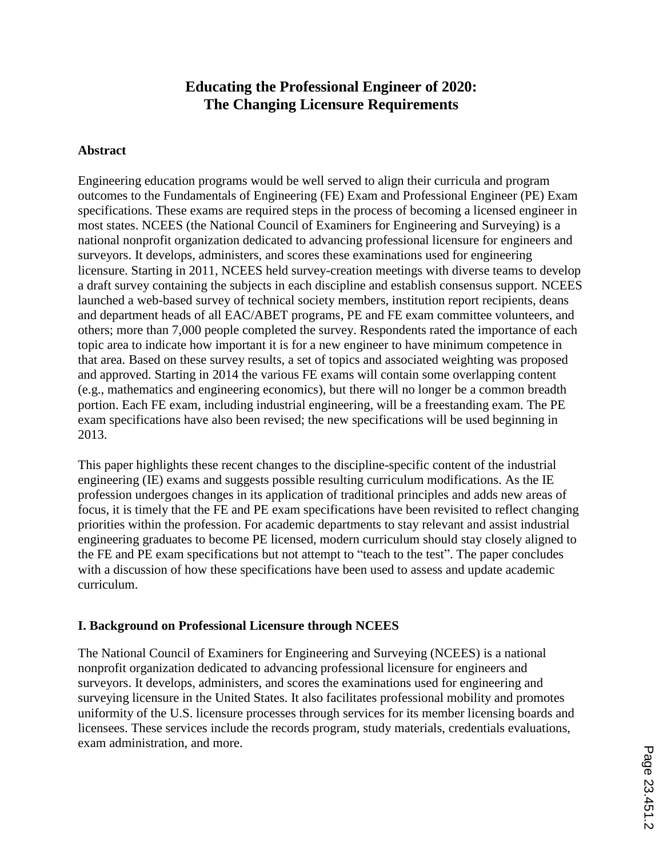# **Educating the Professional Engineer of 2020: The Changing Licensure Requirements**

#### **Abstract**

Engineering education programs would be well served to align their curricula and program outcomes to the Fundamentals of Engineering (FE) Exam and Professional Engineer (PE) Exam specifications. These exams are required steps in the process of becoming a licensed engineer in most states. NCEES (the National Council of Examiners for Engineering and Surveying) is a national nonprofit organization dedicated to advancing professional licensure for engineers and surveyors. It develops, administers, and scores these examinations used for engineering licensure. Starting in 2011, NCEES held survey-creation meetings with diverse teams to develop a draft survey containing the subjects in each discipline and establish consensus support. NCEES launched a web-based survey of technical society members, institution report recipients, deans and department heads of all EAC/ABET programs, PE and FE exam committee volunteers, and others; more than 7,000 people completed the survey. Respondents rated the importance of each topic area to indicate how important it is for a new engineer to have minimum competence in that area. Based on these survey results, a set of topics and associated weighting was proposed and approved. Starting in 2014 the various FE exams will contain some overlapping content (e.g., mathematics and engineering economics), but there will no longer be a common breadth portion. Each FE exam, including industrial engineering, will be a freestanding exam. The PE exam specifications have also been revised; the new specifications will be used beginning in 2013.

This paper highlights these recent changes to the discipline-specific content of the industrial engineering (IE) exams and suggests possible resulting curriculum modifications. As the IE profession undergoes changes in its application of traditional principles and adds new areas of focus, it is timely that the FE and PE exam specifications have been revisited to reflect changing priorities within the profession. For academic departments to stay relevant and assist industrial engineering graduates to become PE licensed, modern curriculum should stay closely aligned to the FE and PE exam specifications but not attempt to "teach to the test". The paper concludes with a discussion of how these specifications have been used to assess and update academic curriculum.

#### **I. Background on Professional Licensure through NCEES**

The National Council of Examiners for Engineering and Surveying (NCEES) is a national nonprofit organization dedicated to advancing professional licensure for engineers and surveyors. It develops, administers, and scores the examinations used for engineering and surveying licensure in the United States. It also facilitates professional mobility and promotes uniformity of the U.S. licensure processes through services for its member licensing boards and licensees. These services include the records program, study materials, credentials evaluations, exam administration, and more.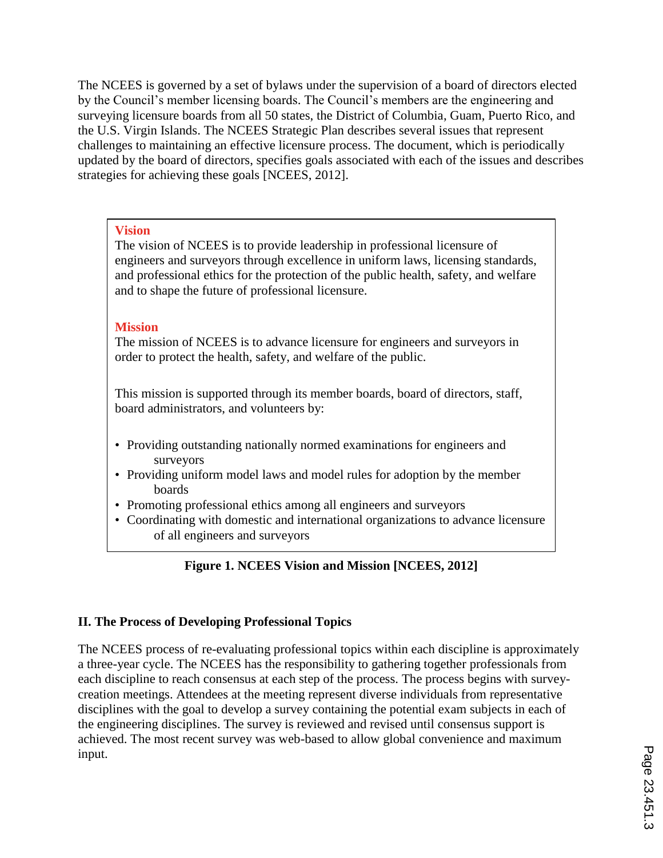The NCEES is governed by a set of bylaws under the supervision of a board of directors elected by the Council's member licensing boards. The Council's members are the engineering and surveying licensure boards from all 50 states, the District of Columbia, Guam, Puerto Rico, and the U.S. Virgin Islands. The NCEES Strategic Plan describes several issues that represent challenges to maintaining an effective licensure process. The document, which is periodically updated by the board of directors, specifies goals associated with each of the issues and describes strategies for achieving these goals [NCEES, 2012].

#### **Vision**

The vision of NCEES is to provide leadership in professional licensure of engineers and surveyors through excellence in uniform laws, licensing standards, and professional ethics for the protection of the public health, safety, and welfare and to shape the future of professional licensure.

## **Mission**

The mission of NCEES is to advance licensure for engineers and surveyors in order to protect the health, safety, and welfare of the public.

This mission is supported through its member boards, board of directors, staff, board administrators, and volunteers by:

- Providing outstanding nationally normed examinations for engineers and surveyors
- Providing uniform model laws and model rules for adoption by the member boards
- Promoting professional ethics among all engineers and surveyors
- Coordinating with domestic and international organizations to advance licensure of all engineers and surveyors

# **Figure 1. NCEES Vision and Mission [NCEES, 2012]**

# **II. The Process of Developing Professional Topics**

The NCEES process of re-evaluating professional topics within each discipline is approximately a three-year cycle. The NCEES has the responsibility to gathering together professionals from each discipline to reach consensus at each step of the process. The process begins with surveycreation meetings. Attendees at the meeting represent diverse individuals from representative disciplines with the goal to develop a survey containing the potential exam subjects in each of the engineering disciplines. The survey is reviewed and revised until consensus support is achieved. The most recent survey was web-based to allow global convenience and maximum input.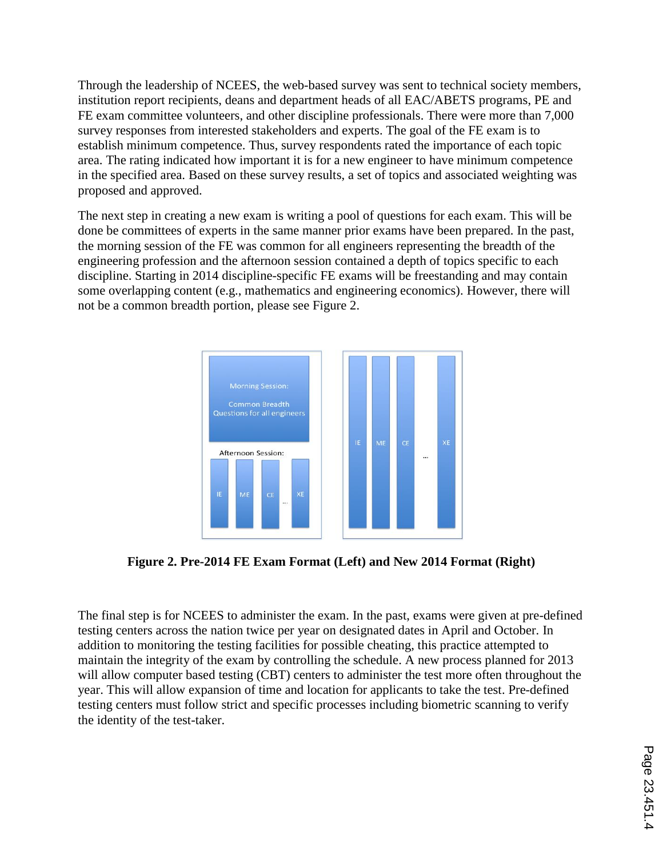Through the leadership of NCEES, the web-based survey was sent to technical society members, institution report recipients, deans and department heads of all EAC/ABETS programs, PE and FE exam committee volunteers, and other discipline professionals. There were more than 7,000 survey responses from interested stakeholders and experts. The goal of the FE exam is to establish minimum competence. Thus, survey respondents rated the importance of each topic area. The rating indicated how important it is for a new engineer to have minimum competence in the specified area. Based on these survey results, a set of topics and associated weighting was proposed and approved.

The next step in creating a new exam is writing a pool of questions for each exam. This will be done be committees of experts in the same manner prior exams have been prepared. In the past, the morning session of the FE was common for all engineers representing the breadth of the engineering profession and the afternoon session contained a depth of topics specific to each discipline. Starting in 2014 discipline-specific FE exams will be freestanding and may contain some overlapping content (e.g., mathematics and engineering economics). However, there will not be a common breadth portion, please see Figure 2.



**Figure 2. Pre-2014 FE Exam Format (Left) and New 2014 Format (Right)**

The final step is for NCEES to administer the exam. In the past, exams were given at pre-defined testing centers across the nation twice per year on designated dates in April and October. In addition to monitoring the testing facilities for possible cheating, this practice attempted to maintain the integrity of the exam by controlling the schedule. A new process planned for 2013 will allow computer based testing (CBT) centers to administer the test more often throughout the year. This will allow expansion of time and location for applicants to take the test. Pre-defined testing centers must follow strict and specific processes including biometric scanning to verify the identity of the test-taker.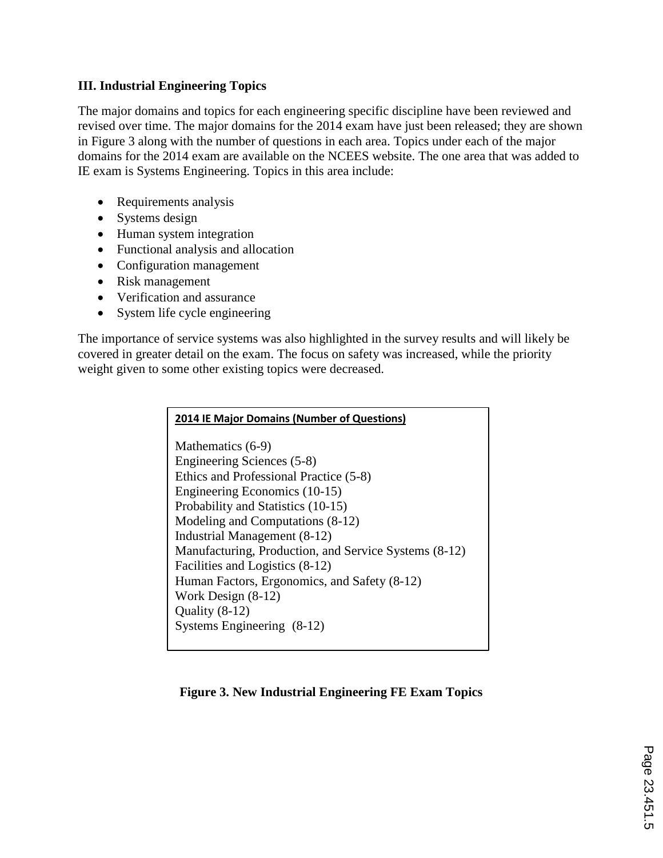## **III. Industrial Engineering Topics**

The major domains and topics for each engineering specific discipline have been reviewed and revised over time. The major domains for the 2014 exam have just been released; they are shown in Figure 3 along with the number of questions in each area. Topics under each of the major domains for the 2014 exam are available on the NCEES website. The one area that was added to IE exam is Systems Engineering. Topics in this area include:

- Requirements analysis
- Systems design
- Human system integration
- Functional analysis and allocation
- Configuration management
- Risk management
- Verification and assurance
- System life cycle engineering

The importance of service systems was also highlighted in the survey results and will likely be covered in greater detail on the exam. The focus on safety was increased, while the priority weight given to some other existing topics were decreased.

| <b>2014 IE Major Domains (Number of Questions)</b>    |
|-------------------------------------------------------|
| Mathematics (6-9)                                     |
| Engineering Sciences (5-8)                            |
| Ethics and Professional Practice (5-8)                |
| Engineering Economics (10-15)                         |
| Probability and Statistics (10-15)                    |
| Modeling and Computations (8-12)                      |
| <b>Industrial Management (8-12)</b>                   |
| Manufacturing, Production, and Service Systems (8-12) |
| Facilities and Logistics (8-12)                       |
| Human Factors, Ergonomics, and Safety (8-12)          |
| Work Design $(8-12)$                                  |
| Quality $(8-12)$                                      |
| Systems Engineering (8-12)                            |

## **Figure 3. New Industrial Engineering FE Exam Topics**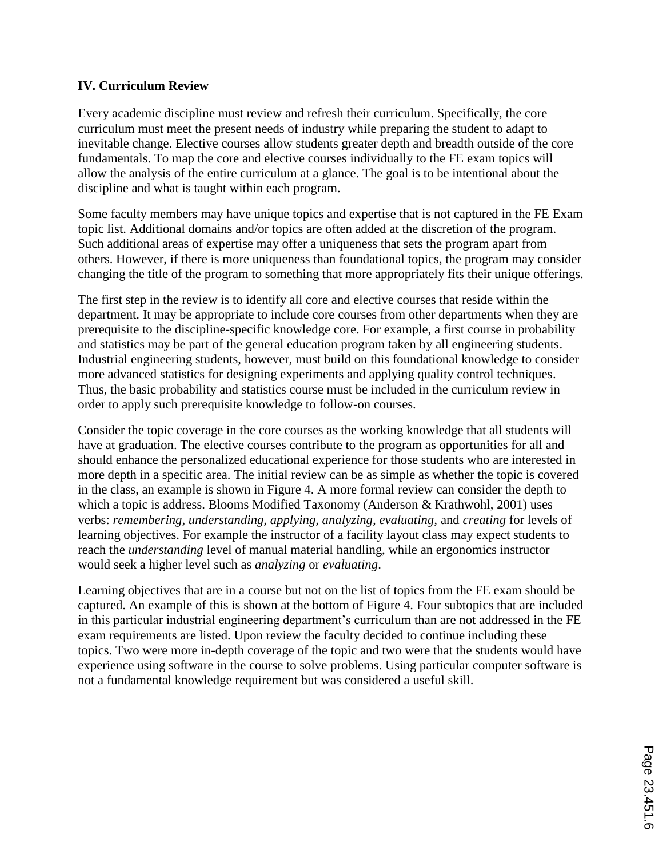#### **IV. Curriculum Review**

Every academic discipline must review and refresh their curriculum. Specifically, the core curriculum must meet the present needs of industry while preparing the student to adapt to inevitable change. Elective courses allow students greater depth and breadth outside of the core fundamentals. To map the core and elective courses individually to the FE exam topics will allow the analysis of the entire curriculum at a glance. The goal is to be intentional about the discipline and what is taught within each program.

Some faculty members may have unique topics and expertise that is not captured in the FE Exam topic list. Additional domains and/or topics are often added at the discretion of the program. Such additional areas of expertise may offer a uniqueness that sets the program apart from others. However, if there is more uniqueness than foundational topics, the program may consider changing the title of the program to something that more appropriately fits their unique offerings.

The first step in the review is to identify all core and elective courses that reside within the department. It may be appropriate to include core courses from other departments when they are prerequisite to the discipline-specific knowledge core. For example, a first course in probability and statistics may be part of the general education program taken by all engineering students. Industrial engineering students, however, must build on this foundational knowledge to consider more advanced statistics for designing experiments and applying quality control techniques. Thus, the basic probability and statistics course must be included in the curriculum review in order to apply such prerequisite knowledge to follow-on courses.

Consider the topic coverage in the core courses as the working knowledge that all students will have at graduation. The elective courses contribute to the program as opportunities for all and should enhance the personalized educational experience for those students who are interested in more depth in a specific area. The initial review can be as simple as whether the topic is covered in the class, an example is shown in Figure 4. A more formal review can consider the depth to which a topic is address. Blooms Modified Taxonomy (Anderson & Krathwohl, 2001) uses verbs: *remembering, understanding, applying, analyzing, evaluating,* and *creating* for levels of learning objectives. For example the instructor of a facility layout class may expect students to reach the *understanding* level of manual material handling, while an ergonomics instructor would seek a higher level such as *analyzing* or *evaluating*.

Learning objectives that are in a course but not on the list of topics from the FE exam should be captured. An example of this is shown at the bottom of Figure 4. Four subtopics that are included in this particular industrial engineering department's curriculum than are not addressed in the FE exam requirements are listed. Upon review the faculty decided to continue including these topics. Two were more in-depth coverage of the topic and two were that the students would have experience using software in the course to solve problems. Using particular computer software is not a fundamental knowledge requirement but was considered a useful skill.